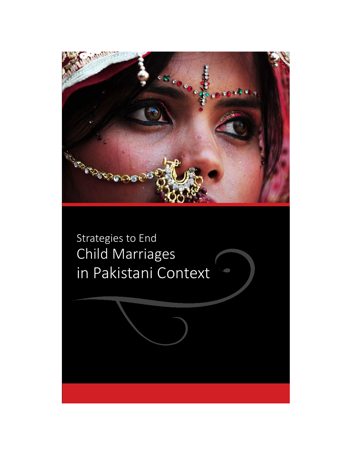

Strategies to End Child Marriages in Pakistani Context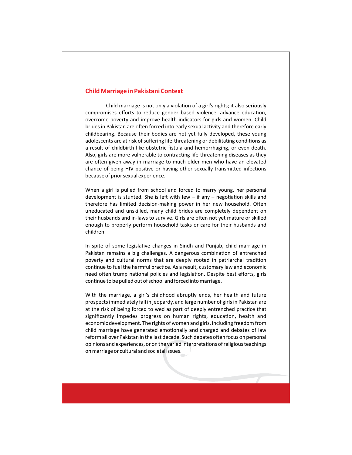### **Child Marriage in Pakistani Context**

Child marriage is not only a violation of a girl's rights; it also seriously compromises efforts to reduce gender based violence, advance education, overcome poverty and improve health indicators for girls and women. Child brides in Pakistan are often forced into early sexual activity and therefore early childbearing. Because their bodies are not yet fully developed, these young adolescents are at risk of suffering life-threatening or debilitating conditions as a result of childbirth like obstetric fistula and hemorrhaging, or even death. Also, girls are more vulnerable to contracting life-threatening diseases as they are often given away in marriage to much older men who have an elevated chance of being HIV positive or having other sexually-transmitted infections because of prior sexual experience.

When a girl is pulled from school and forced to marry young, her personal development is stunted. She is left with few  $-$  if any  $-$  negotiation skills and therefore has limited decision-making power in her new household. Often uneducated and unskilled, many child brides are completely dependent on their husbands and in-laws to survive. Girls are often not yet mature or skilled enough to properly perform household tasks or care for their husbands and children.

In spite of some legislative changes in Sindh and Punjab, child marriage in Pakistan remains a big challenges. A dangerous combination of entrenched poverty and cultural norms that are deeply rooted in patriarchal tradition continue to fuel the harmful practice. As a result, customary law and economic need often trump national policies and legislation. Despite best efforts, girls continue to be pulled out of school and forced into marriage.

With the marriage, a girl's childhood abruptly ends, her health and future prospects immediately fall in jeopardy, and large number of girls in Pakistan are at the risk of being forced to wed as part of deeply entrenched practice that significantly impedes progress on human rights, education, health and economic development. The rights of women and girls, including freedom from child marriage have generated emotionally and charged and debates of law reform all over Pakistan in the last decade. Such debates often focus on personal opinions and experiences, or on the varied interpretations of religious teachings on marriage or cultural and societal issues.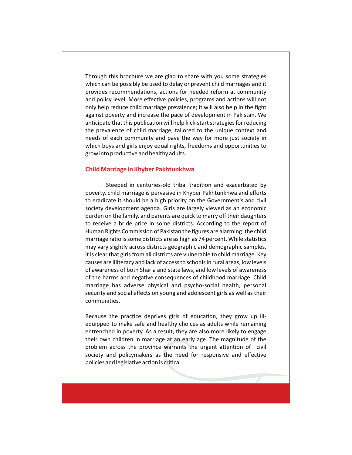Through this brochure we are glad to share with you some strategies which can be possibly be used to delay or prevent child marriages and it provides recommendations, actions for needed reform at community and policy level. More effective policies, programs and actions will not only help reduce child marriage prevalence; it will also help in the fight against poverty and increase the pace of development in Pakistan. We anticipate that this publication will help kick-start strategies for reducing the prevalence of child marriage, tailored to the unique context and needs of each community and pave the way for more just society in which boys and girls enjoy equal rights, freedoms and opportunities to grow into productive and healthy adults.

## **Child Marriage in Khyber Pakhtunkhwa**

Steeped in centuries-old tribal tradition and exacerbated by poverty, child marriage is pervasive in Khyber Pakhtunkhwa and efforts to eradicate it should be a high priority on the Government's and civil society development agenda. Girls are largely viewed as an economic burden on the family, and parents are quick to marry off their daughters to receive a bride price in some districts. According to the report of Human Rights Commission of Pakistan the figures are alarming: the child marriage ratio is some districts are as high as 74 percent. While statistics may vary slightly across districts geographic and demographic samples, it is clear that girls from all districts are vulnerable to child marriage. Key causes are illiteracy and lack of access to schools in rural areas, low levels of awareness of both Sharia and state laws, and low levels of awareness of the harms and negative consequences of childhood marriage. Child marriage has adverse physical and psycho-social health, personal security and social effects on young and adolescent girls as well as their communities.

Because the practice deprives girls of education, they grow up illequipped to make safe and healthy choices as adults while remaining entrenched in poverty. As a result, they are also more likely to engage their own children in marriage at an early age. The magnitude of the problem across the province warrants the urgent attention of civil society and policymakers as the need for responsive and effective policies and legislative action is critical.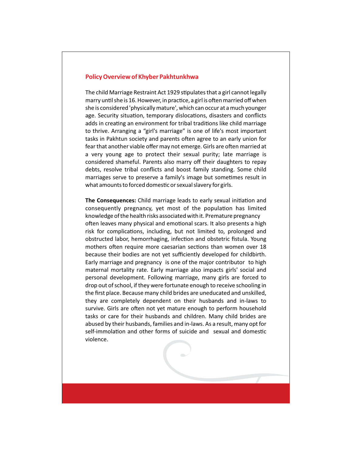#### **Policy Overview of Khyber Pakhtunkhwa**

The child Marriage Restraint Act 1929 stipulates that a girl cannot legally marry until she is 16. However, in practice, a girl is often married off when she is considered 'physically mature', which can occur at a much younger age. Security situation, temporary dislocations, disasters and conflicts adds in creating an environment for tribal traditions like child marriage to thrive. Arranging a "girl's marriage" is one of life's most important tasks in Pakhtun society and parents often agree to an early union for fear that another viable offer may not emerge. Girls are often married at a very young age to protect their sexual purity; late marriage is considered shameful. Parents also marry off their daughters to repay debts, resolve tribal conflicts and boost family standing. Some child marriages serve to preserve a family's image but sometimes result in what amounts to forced domestic or sexual slavery for girls.

The Consequences: Child marriage leads to early sexual initiation and consequently pregnancy, yet most of the population has limited knowledge of the health risks associated with it. Premature pregnancy often leaves many physical and emotional scars. It also presents a high risk for complications, including, but not limited to, prolonged and obstructed labor, hemorrhaging, infection and obstetric fistula. Young mothers often require more caesarian sections than women over 18 because their bodies are not yet sufficiently developed for childbirth. Early marriage and pregnancy is one of the major contributor to high maternal mortality rate. Early marriage also impacts girls' social and personal development. Following marriage, many girls are forced to drop out of school, if they were fortunate enough to receive schooling in the first place. Because many child brides are uneducated and unskilled, they are completely dependent on their husbands and in-laws to survive. Girls are often not yet mature enough to perform household tasks or care for their husbands and children. Many child brides are abused by their husbands, families and in-laws. As a result, many opt for self-immolation and other forms of suicide and sexual and domestic violence.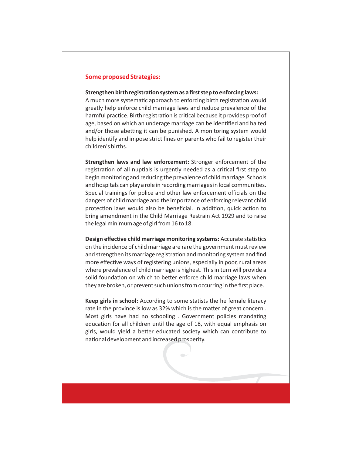# **Some proposed Strategies:**

#### **Strengthen birth registration system as a first step to enforcing laws:**

A much more systematic approach to enforcing birth registration would greatly help enforce child marriage laws and reduce prevalence of the harmful practice. Birth registration is critical because it provides proof of age, based on which an underage marriage can be identified and halted and/or those abetting it can be punished. A monitoring system would help identify and impose strict fines on parents who fail to register their children's births.

**Strengthen laws and law enforcement:** Stronger enforcement of the registration of all nuptials is urgently needed as a critical first step to begin monitoring and reducing the prevalence of child marriage. Schools and hospitals can play a role in recording marriages in local communities. Special trainings for police and other law enforcement officials on the dangers of child marriage and the importance of enforcing relevant child protection laws would also be beneficial. In addition, quick action to bring amendment in the Child Marriage Restrain Act 1929 and to raise the legal minimum age of girl from 16 to 18.

**Design effective child marriage monitoring systems:** Accurate statistics on the incidence of child marriage are rare the government must review and strengthen its marriage registration and monitoring system and find more effective ways of registering unions, especially in poor, rural areas where prevalence of child marriage is highest. This in turn will provide a solid foundation on which to better enforce child marriage laws when they are broken, or prevent such unions from occurring in the first place.

**Keep girls in school:** According to some statists the he female literacy rate in the province is low as 32% which is the matter of great concern. Most girls have had no schooling. Government policies mandating education for all children until the age of 18, with equal emphasis on girls, would yield a better educated society which can contribute to national development and increased prosperity.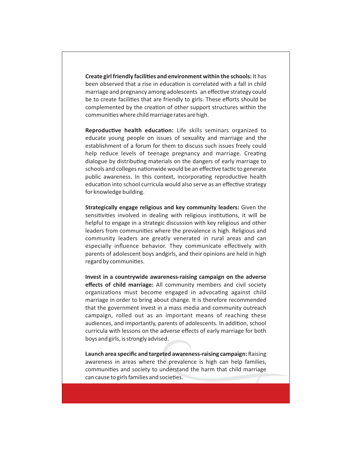**Create girl friendly facilities and environment within the schools:** It has been observed that a rise in education is correlated with a fall in child marriage and pregnancy among adolescents an effective strategy could be to create facilities that are friendly to girls. These efforts should be complemented by the creation of other support structures within the communities where child marriage rates are high.

**Reproductive health education:** Life skills seminars organized to educate young people on issues of sexuality and marriage and the establishment of a forum for them to discuss such issues freely could help reduce levels of teenage pregnancy and marriage. Creating dialogue by distributing materials on the dangers of early marriage to schools and colleges nationwide would be an effective tactic to generate public awareness. In this context, incorporating reproductive health education into school curricula would also serve as an effective strategy for knowledge building.

**Strategically engage religious and key community leaders:** Given the sensitivities involved in dealing with religious institutions, it will be helpful to engage in a strategic discussion with key religious and other leaders from communities where the prevalence is high. Religious and community leaders are greatly venerated in rural areas and can especially influence behavior. They communicate effectively with parents of adolescent boys andgirls, and their opinions are held in high regard by communities.

**Invest in a countrywide awareness-raising campaign on the adverse effects of child marriage:** All community members and civil society organizations must become engaged in advocating against child marriage in order to bring about change. It is therefore recommended that the government invest in a mass media and community outreach campaign, rolled out as an important means of reaching these audiences, and importantly, parents of adolescents. In addition, school curricula with lessons on the adverse effects of early marriage for both boys and girls, is strongly advised.

**Launch area specific and targeted awareness-raising campaign:** Raising awareness in areas where the prevalence is high can help families, communities and society to understand the harm that child marriage can cause to girls families and societies.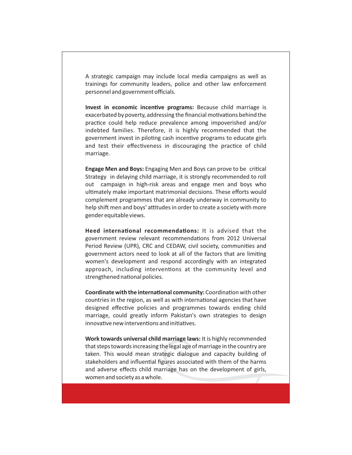A strategic campaign may include local media campaigns as well as trainings for community leaders, police and other law enforcement personnel and government officials.

**Invest in economic incentive programs:** Because child marriage is exacerbated by poverty, addressing the financial motivations behind the practice could help reduce prevalence among impoverished and/or indebted families. Therefore, it is highly recommended that the government invest in piloting cash incentive programs to educate girls and test their effectiveness in discouraging the practice of child marriage.

**Engage Men and Boys:** Engaging Men and Boys can prove to be critical Strategy in delaying child marriage, it is strongly recommended to roll out campaign in high-risk areas and engage men and boys who ultimately make important matrimonial decisions. These efforts would complement programmes that are already underway in community to help shift men and boys' attitudes in order to create a society with more gender equitable views.

**Heed international recommendations:** It is advised that the government review relevant recommendations from 2012 Universal Period Review (UPR), CRC and CEDAW, civil society, communities and government actors need to look at all of the factors that are limiting women's development and respond accordingly with an integrated approach, including interventions at the community level and strengthened national policies.

**Coordinate with the international community:** Coordination with other countries in the region, as well as with international agencies that have designed effective policies and programmes towards ending child marriage, could greatly inform Pakistan's own strategies to design innovative new interventions and initiatives.

**Work towards universal child marriage laws:** It is highly recommended that steps towards increasing the legal age of marriage in the country are taken. This would mean strategic dialogue and capacity building of stakeholders and influential figures associated with them of the harms and adverse effects child marriage has on the development of girls, women and society as a whole.